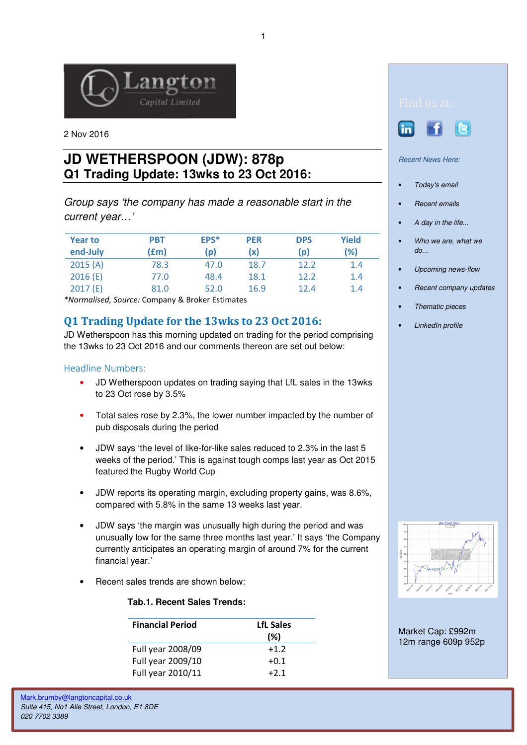

2 Nov 2016

# **JD WETHERSPOON (JDW): 878p Q1 Trading Update: 13wks to 23 Oct 2016:**

Group says 'the company has made a reasonable start in the current year…'

| <b>Year to</b><br>end-July | PBT<br>(£m) | EPS*<br>(p) | <b>PER</b><br>(x) | <b>DPS</b><br>(p) | Yield<br>(%) |
|----------------------------|-------------|-------------|-------------------|-------------------|--------------|
| 2015(A)                    | 78.3        | 47.0        | 18.7              | 12.2              | 1.4          |
| 2016(E)                    | 77.0        | 48.4        | 18.1              | 12.2              | 1.4          |
| 2017(E)                    | 81.0        | 52.0        | 16.9              | 12.4              | 1.4          |

\*Normalised, Source: Company & Broker Estimates

## Q1 Trading Update for the 13wks to 23 Oct 2016:

JD Wetherspoon has this morning updated on trading for the period comprising the 13wks to 23 Oct 2016 and our comments thereon are set out below:

### Headline Numbers:

- JD Wetherspoon updates on trading saying that LfL sales in the 13wks to 23 Oct rose by 3.5%
- Total sales rose by 2.3%, the lower number impacted by the number of pub disposals during the period
- JDW says 'the level of like-for-like sales reduced to 2.3% in the last 5 weeks of the period.' This is against tough comps last year as Oct 2015 featured the Rugby World Cup
- JDW reports its operating margin, excluding property gains, was 8.6%, compared with 5.8% in the same 13 weeks last year.
- JDW says 'the margin was unusually high during the period and was unusually low for the same three months last year.' It says 'the Company currently anticipates an operating margin of around 7% for the current financial year.'
- Recent sales trends are shown below:

#### **Tab.1. Recent Sales Trends:**

| <b>Financial Period</b> | <b>LfL Sales</b><br>(%) |
|-------------------------|-------------------------|
| Full year 2008/09       | $+1.2$                  |
| Full year 2009/10       | $+0.1$                  |
| Full year 2010/11       | $+2.1$                  |





Recent News Here:

- Today's email
- Recent emails
- A day in the life...
- Who we are, what we do...
- Upcoming news-flow
- Recent company updates
- Thematic pieces
- LinkedIn profile



Market Cap: £992m 12m range 609p 952p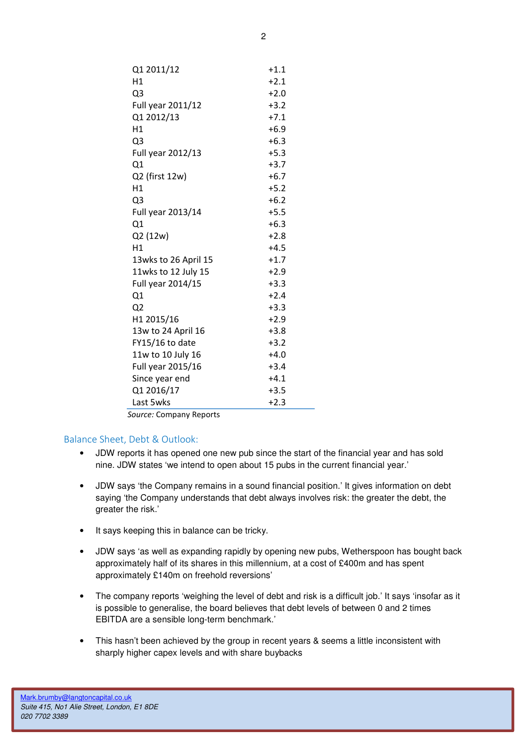| Q1 2011/12           | $+1.1$ |
|----------------------|--------|
| H1                   | $+2.1$ |
| Q3                   | $+2.0$ |
| Full year 2011/12    | $+3.2$ |
| Q1 2012/13           | $+7.1$ |
| H1                   | $+6.9$ |
| Q <sub>3</sub>       | $+6.3$ |
| Full year 2012/13    | $+5.3$ |
| Q1                   | $+3.7$ |
| Q2 (first 12w)       | $+6.7$ |
| H1                   | $+5.2$ |
| Q <sub>3</sub>       | $+6.2$ |
| Full year 2013/14    | $+5.5$ |
| Q1                   | $+6.3$ |
| Q2 (12w)             | $+2.8$ |
| H1                   | $+4.5$ |
| 13wks to 26 April 15 | $+1.7$ |
| 11wks to 12 July 15  | $+2.9$ |
| Full year 2014/15    | $+3.3$ |
| Q1                   | $+2.4$ |
| Q <sub>2</sub>       | $+3.3$ |
| H1 2015/16           | $+2.9$ |
| 13w to 24 April 16   | $+3.8$ |
| FY15/16 to date      | $+3.2$ |
| 11w to 10 July 16    | $+4.0$ |
| Full year 2015/16    | $+3.4$ |
| Since year end       | $+4.1$ |
| Q1 2016/17           | $+3.5$ |
| Last 5wks            | $+2.3$ |

Source: Company Reports

#### Balance Sheet, Debt & Outlook:

- JDW reports it has opened one new pub since the start of the financial year and has sold nine. JDW states 'we intend to open about 15 pubs in the current financial year.'
- JDW says 'the Company remains in a sound financial position.' It gives information on debt saying 'the Company understands that debt always involves risk: the greater the debt, the greater the risk.'
- It says keeping this in balance can be tricky.
- JDW says 'as well as expanding rapidly by opening new pubs, Wetherspoon has bought back approximately half of its shares in this millennium, at a cost of £400m and has spent approximately £140m on freehold reversions'
- The company reports 'weighing the level of debt and risk is a difficult iob.' It says 'insofar as it is possible to generalise, the board believes that debt levels of between 0 and 2 times EBITDA are a sensible long-term benchmark.'
- This hasn't been achieved by the group in recent years & seems a little inconsistent with sharply higher capex levels and with share buybacks